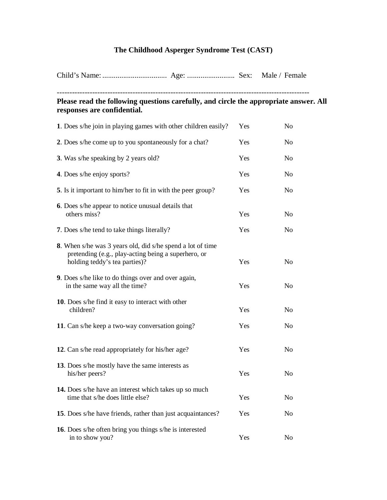## **The Childhood Asperger Syndrome Test (CAST)**

| Please read the following questions carefully, and circle the appropriate answer. All<br>responses are confidential. |                                                                                                                          |     |                |  |  |
|----------------------------------------------------------------------------------------------------------------------|--------------------------------------------------------------------------------------------------------------------------|-----|----------------|--|--|
|                                                                                                                      | 1. Does s/he join in playing games with other children easily?                                                           | Yes | No             |  |  |
|                                                                                                                      | 2. Does s/he come up to you spontaneously for a chat?                                                                    | Yes | N <sub>o</sub> |  |  |
| 3. Was s/he speaking by 2 years old?                                                                                 |                                                                                                                          | Yes | No             |  |  |
| 4. Does s/he enjoy sports?                                                                                           |                                                                                                                          | Yes | No             |  |  |
|                                                                                                                      | 5. Is it important to him/her to fit in with the peer group?                                                             | Yes | N <sub>o</sub> |  |  |
| others miss?                                                                                                         | <b>6.</b> Does s/he appear to notice unusual details that                                                                | Yes | N <sub>o</sub> |  |  |
| 7. Does s/he tend to take things literally?                                                                          |                                                                                                                          | Yes | N <sub>o</sub> |  |  |
| holding teddy's tea parties)?                                                                                        | <b>8.</b> When s/he was 3 years old, did s/he spend a lot of time<br>pretending (e.g., play-acting being a superhero, or | Yes | N <sub>0</sub> |  |  |
| in the same way all the time?                                                                                        | 9. Does s/he like to do things over and over again,                                                                      | Yes | No             |  |  |
| children?                                                                                                            | 10. Does s/he find it easy to interact with other                                                                        | Yes | No             |  |  |
|                                                                                                                      | 11. Can s/he keep a two-way conversation going?                                                                          | Yes | N <sub>o</sub> |  |  |
|                                                                                                                      | 12. Can s/he read appropriately for his/her age?                                                                         | Yes | No             |  |  |
| his/her peers?                                                                                                       | 13. Does s/he mostly have the same interests as                                                                          | Yes | N <sub>0</sub> |  |  |
| time that s/he does little else?                                                                                     | 14. Does s/he have an interest which takes up so much                                                                    | Yes | No             |  |  |
|                                                                                                                      | 15. Does s/he have friends, rather than just acquaintances?                                                              | Yes | N <sub>o</sub> |  |  |
| in to show you?                                                                                                      | 16. Does s/he often bring you things s/he is interested                                                                  | Yes | N <sub>o</sub> |  |  |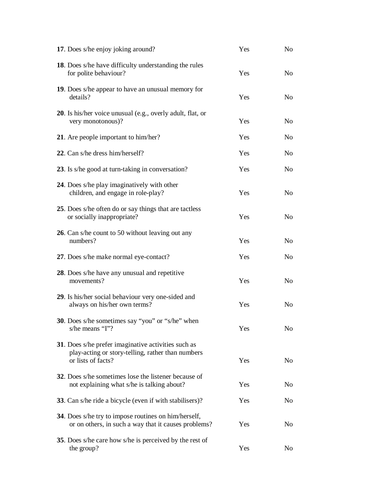| 17. Does s/he enjoy joking around?                                                                                             | Yes | No             |
|--------------------------------------------------------------------------------------------------------------------------------|-----|----------------|
| <b>18.</b> Does s/he have difficulty understanding the rules<br>for polite behaviour?                                          | Yes | No             |
| 19. Does s/he appear to have an unusual memory for<br>details?                                                                 | Yes | No             |
| <b>20</b> . Is his/her voice unusual (e.g., overly adult, flat, or<br>very monotonous)?                                        | Yes | N <sub>0</sub> |
| 21. Are people important to him/her?                                                                                           | Yes | No             |
| 22. Can s/he dress him/herself?                                                                                                | Yes | N <sub>0</sub> |
| 23. Is s/he good at turn-taking in conversation?                                                                               | Yes | No             |
| 24. Does s/he play imaginatively with other<br>children, and engage in role-play?                                              | Yes | No             |
| 25. Does s/he often do or say things that are tactless<br>or socially inappropriate?                                           | Yes | No             |
| 26. Can s/he count to 50 without leaving out any<br>numbers?                                                                   | Yes | No             |
| 27. Does s/he make normal eye-contact?                                                                                         | Yes | No             |
| 28. Does s/he have any unusual and repetitive<br>movements?                                                                    | Yes | No             |
| 29. Is his/her social behaviour very one-sided and<br>always on his/her own terms?                                             | Yes | No             |
| 30. Does s/he sometimes say "you" or "s/he" when<br>s/he means "I"?                                                            | Yes | No             |
| 31. Does s/he prefer imaginative activities such as<br>play-acting or story-telling, rather than numbers<br>or lists of facts? | Yes | No             |
| 32. Does s/he sometimes lose the listener because of<br>not explaining what s/he is talking about?                             | Yes | N <sub>0</sub> |
| 33. Can s/he ride a bicycle (even if with stabilisers)?                                                                        | Yes | No             |
| 34. Does s/he try to impose routines on him/herself,<br>or on others, in such a way that it causes problems?                   | Yes | No             |
| <b>35.</b> Does s/he care how s/he is perceived by the rest of<br>the group?                                                   | Yes | N <sub>0</sub> |